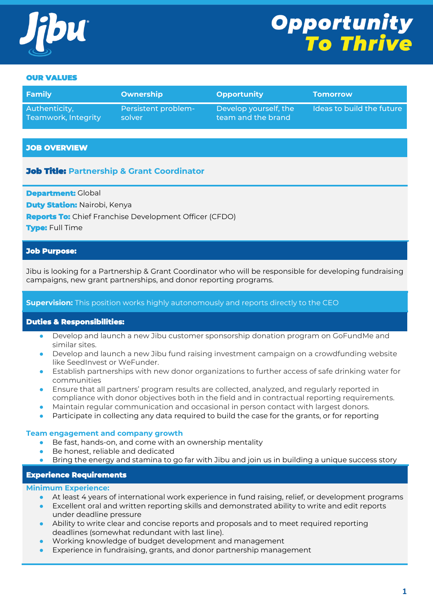

# **Opportunity<br>To Thrive**

#### OUR VALUES

| Family              | Ownership           | <b>Opportunity</b>    | <b>Tomorrow</b>           |
|---------------------|---------------------|-----------------------|---------------------------|
| Authenticity,       | Persistent problem- | Develop yourself, the | Ideas to build the future |
| Teamwork, Integrity | solver              | team and the brand    |                           |

#### **JOB OVERVIEW**

# Job Title: **Partnership & Grant Coordinator**

**Department:** Global

**Duty Station: Nairobi, Kenya** 

**Reports To:** Chief Franchise Development Officer (CFDO)

**Type:** Full Time

## **Job Purpose:**

Jibu is looking for a Partnership & Grant Coordinator who will be responsible for developing fundraising campaigns, new grant partnerships, and donor reporting programs.

#### **Supervision:** This position works highly autonomously and reports directly to the CEO

#### **Duties & Responsibilities:**

- Develop and launch a new Jibu customer sponsorship donation program on GoFundMe and similar sites.
- Develop and launch a new Jibu fund raising investment campaign on a crowdfunding website like SeedInvest or WeFunder.
- Establish partnerships with new donor organizations to further access of safe drinking water for communities
- Ensure that all partners' program results are collected, analyzed, and regularly reported in compliance with donor objectives both in the field and in contractual reporting requirements.
- Maintain regular communication and occasional in person contact with largest donors.
- Participate in collecting any data required to build the case for the grants, or for reporting

#### **Team engagement and company growth**

- Be fast, hands-on, and come with an ownership mentality
- Be honest, reliable and dedicated
- Bring the energy and stamina to go far with Jibu and join us in building a unique success story

#### **Experience Requirements**

#### **Minimum Experience:**

- At least 4 years of international work experience in fund raising, relief, or development programs
- Excellent oral and written reporting skills and demonstrated ability to write and edit reports under deadline pressure
- Ability to write clear and concise reports and proposals and to meet required reporting deadlines (somewhat redundant with last line).
- Working knowledge of budget development and management
- Experience in fundraising, grants, and donor partnership management